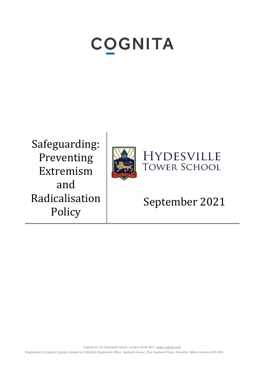# **COGNITA**

Safeguarding: Preventing Extremism and Radicalisation Policy



**HYDESVILLE TOWER SCHOOL** 

## September 2021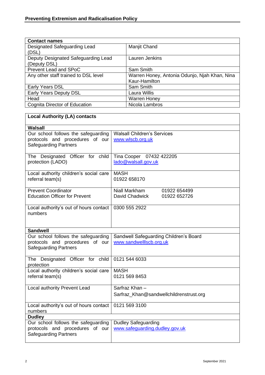| <b>Contact names</b>                 |                                               |
|--------------------------------------|-----------------------------------------------|
| Designated Safeguarding Lead         | Manjit Chand                                  |
| (DSL)                                |                                               |
| Deputy Designated Safeguarding Lead  | Lauren Jenkins                                |
| (Deputy DSL)                         |                                               |
| Prevent Lead and SPoC                | Sam Smith                                     |
| Any other staff trained to DSL level | Warren Honey, Antonia Odunjo, Njah Khan, Nina |
|                                      | Kaur-Hamilton                                 |
| Early Years DSL                      | Sam Smith                                     |
| Early Years Deputy DSL               | Laura Willis                                  |
| Head                                 | <b>Warren Honey</b>                           |
| Cognita Director of Education        | Nicola Lambros                                |

### **Local Authority (LA) contacts**

| Walsall                                |                                         |
|----------------------------------------|-----------------------------------------|
| Our school follows the safeguarding    | <b>Walsall Children's Services</b>      |
| protocols and procedures of our        | www.wlscb.org.uk                        |
| <b>Safeguarding Partners</b>           |                                         |
|                                        |                                         |
| The Designated Officer for child       | Tina Cooper 07432 422205                |
| protection (LADO)                      | lado@walsall.gov.uk                     |
|                                        |                                         |
| Local authority children's social care | <b>MASH</b>                             |
| referral team(s)                       | 01922 658170                            |
|                                        |                                         |
| <b>Prevent Coordinator</b>             | Niall Markham<br>01922 654499           |
| <b>Education Officer for Prevent</b>   | David Chadwick<br>01922 652726          |
|                                        |                                         |
| Local authority's out of hours contact | 0300 555 2922                           |
| numbers                                |                                         |
|                                        |                                         |
|                                        |                                         |
| <b>Sandwell</b>                        |                                         |
| Our school follows the safeguarding    | Sandwell Safeguarding Children's Board  |
| protocols and procedures of our        | www.sandwelllscb.org.uk                 |
| <b>Safeguarding Partners</b>           |                                         |
|                                        |                                         |
| The Designated Officer for child       | 0121 544 6033                           |
| protection                             |                                         |
| Local authority children's social care | <b>MASH</b>                             |
| referral team(s)                       | 0121 569 8453                           |
|                                        |                                         |
| Local authority Prevent Lead           | Sarfraz Khan-                           |
|                                        | Sarfraz_Khan@sandwellchildrenstrust.org |
|                                        |                                         |
| Local authority's out of hours contact | 0121 569 3100                           |
| numbers                                |                                         |
| <b>Dudley</b>                          |                                         |
| Our school follows the safeguarding    | <b>Dudley Safeguarding</b>              |
| protocols and procedures of our        | www.safeguarding.dudley.gov.uk          |
| <b>Safeguarding Partners</b>           |                                         |
|                                        |                                         |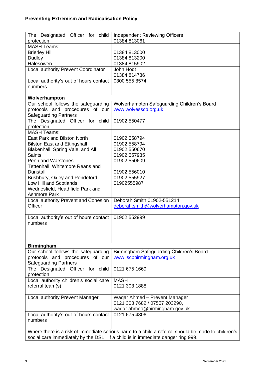| The Designated Officer for child                                                | <b>Independent Reviewing Officers</b>                                                              |  |
|---------------------------------------------------------------------------------|----------------------------------------------------------------------------------------------------|--|
| protection                                                                      | 01384 813061                                                                                       |  |
| <b>MASH Teams:</b>                                                              |                                                                                                    |  |
| <b>Brierley Hill</b>                                                            | 01384 813000                                                                                       |  |
| Dudley                                                                          | 01384 813200                                                                                       |  |
| Halesowen                                                                       | 01384 815902                                                                                       |  |
| Local authority Prevent Coordinator                                             | John Hodt                                                                                          |  |
|                                                                                 |                                                                                                    |  |
|                                                                                 | 01384 814736                                                                                       |  |
| Local authority's out of hours contact                                          | 0300 555 8574                                                                                      |  |
| numbers                                                                         |                                                                                                    |  |
|                                                                                 |                                                                                                    |  |
| Wolverhampton                                                                   |                                                                                                    |  |
| Our school follows the safeguarding                                             | Wolverhampton Safeguarding Children's Board                                                        |  |
| protocols and procedures of our                                                 | www.wolvesscb.org.uk                                                                               |  |
| <b>Safeguarding Partners</b>                                                    |                                                                                                    |  |
| The Designated Officer for child                                                | 01902 550477                                                                                       |  |
| protection                                                                      |                                                                                                    |  |
| <b>MASH Teams:</b>                                                              |                                                                                                    |  |
| East Park and Bilston North                                                     | 01902 558794                                                                                       |  |
| <b>Bilston East and Ettingshall</b>                                             | 01902 558794                                                                                       |  |
| Blakenhall, Spring Vale, and All                                                | 01902 550670                                                                                       |  |
| <b>Saints</b>                                                                   | 01902 557935                                                                                       |  |
| <b>Penn and Warstones</b>                                                       | 01902 550609                                                                                       |  |
| Tettenhall, Whitemore Reans and                                                 |                                                                                                    |  |
| <b>Dunstall</b>                                                                 | 01902 556010                                                                                       |  |
| Bushbury, Oxley and Pendeford                                                   | 01902 555927                                                                                       |  |
| Low Hill and Scotlands                                                          | 01902555987                                                                                        |  |
| Wednesfield, Heathfield Park and                                                |                                                                                                    |  |
| <b>Ashmore Park</b>                                                             |                                                                                                    |  |
| Local authority Prevent and Cohesion                                            | Deborah Smith 01902-551214                                                                         |  |
| Officer                                                                         | deborah.smith@wolverhampton.gov.uk                                                                 |  |
|                                                                                 |                                                                                                    |  |
| Local authority's out of hours contact                                          | 01902 552999                                                                                       |  |
| numbers                                                                         |                                                                                                    |  |
|                                                                                 |                                                                                                    |  |
|                                                                                 |                                                                                                    |  |
|                                                                                 |                                                                                                    |  |
| <b>Birmingham</b>                                                               |                                                                                                    |  |
| Our school follows the safeguarding                                             | Birmingham Safeguarding Children's Board                                                           |  |
| protocols and procedures of our                                                 | www.lscbbirmingham.org.uk                                                                          |  |
| <b>Safeguarding Partners</b>                                                    |                                                                                                    |  |
|                                                                                 | 0121 675 1669                                                                                      |  |
| The Designated Officer for child                                                |                                                                                                    |  |
| protection                                                                      |                                                                                                    |  |
| Local authority children's social care                                          | <b>MASH</b>                                                                                        |  |
| referral team(s)                                                                | 0121 303 1888                                                                                      |  |
|                                                                                 |                                                                                                    |  |
| Local authority Prevent Manager                                                 | Waqar Ahmed - Prevent Manager                                                                      |  |
|                                                                                 | 0121 303 7682 / 07557 203290,                                                                      |  |
|                                                                                 | waqar.ahmed@birmingham.gov.uk                                                                      |  |
| Local authority's out of hours contact                                          | 0121 675 4806                                                                                      |  |
| numbers                                                                         |                                                                                                    |  |
|                                                                                 |                                                                                                    |  |
|                                                                                 | Where there is a risk of immediate serious harm to a child a referral should be made to children's |  |
| social care immediately by the DSL. If a child is in immediate danger ring 999. |                                                                                                    |  |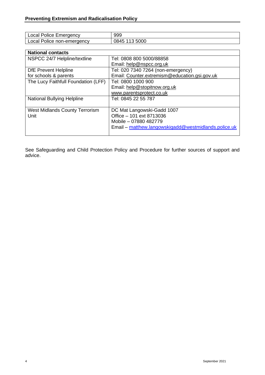| Emergency<br>Police<br>nca. | 999                       |
|-----------------------------|---------------------------|
| Police non-emergency<br>nca | <b>5000</b><br>UC.<br>ט⊤י |

| <b>National contacts</b>              |                                                      |
|---------------------------------------|------------------------------------------------------|
| NSPCC 24/7 Helpline/textline          | Tel: 0808 800 5000/88858                             |
|                                       | Email: help@nspcc.org.uk                             |
| <b>DfE Prevent Helpline</b>           | Tel: 020 7340 7264 (non-emergency)                   |
| for schools & parents                 | Email: Counter.extremism@education.gsi.gov.uk        |
| The Lucy Faithfull Foundation (LFF)   | Tel: 0800 1000 900                                   |
|                                       | Email: help@stopitnow.org.uk                         |
|                                       | www.parentsprotect.co.uk                             |
| <b>National Bullying Helpline</b>     | Tel: 0845 22 55 787                                  |
|                                       |                                                      |
| <b>West Midlands County Terrorism</b> | DC Mat Langowski-Gadd 1007                           |
| Unit                                  | Office - 101 ext 8713036                             |
|                                       | Mobile - 07880 482779                                |
|                                       | Email – matthew.langowskigadd@westmidlands.police.uk |
|                                       |                                                      |

See Safeguarding and Child Protection Policy and Procedure for further sources of support and advice.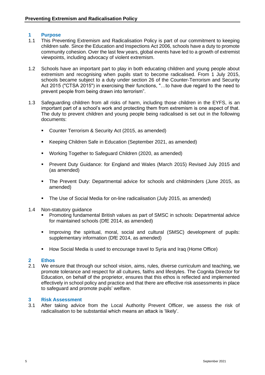#### **1 Purpose**

- 1.1 This Preventing Extremism and Radicalisation Policy is part of our commitment to keeping children safe. Since the Education and Inspections Act 2006, schools have a duty to promote community cohesion. Over the last few years, global events have led to a growth of extremist viewpoints, including advocacy of violent extremism.
- 1.2 Schools have an important part to play in both educating children and young people about extremism and recognising when pupils start to become radicalised. From 1 July 2015, schools became subject to a duty under section 26 of the Counter-Terrorism and Security Act 2015 ("CTSA 2015") in exercising their functions, "…to have due regard to the need to prevent people from being drawn into terrorism".
- 1.3 Safeguarding children from all risks of harm, including those children in the EYFS, is an important part of a school's work and protecting them from extremism is one aspect of that. The duty to prevent children and young people being radicalised is set out in the following documents:
	- Counter Terrorism & Security Act (2015, as amended)
	- Keeping Children Safe in Education (September 2021, as amended)
	- Working Together to Safeguard Children (2020, as amended)
	- Prevent Duty Guidance: for England and Wales (March 2015) Revised July 2015 and (as amended)
	- The Prevent Duty: Departmental advice for schools and childminders (June 2015, as amended)
	- The Use of Social Media for on-line radicalisation (July 2015, as amended)
- 1.4 Non-statutory guidance
	- Promoting fundamental British values as part of SMSC in schools: Departmental advice for maintained schools (DfE 2014, as amended)
	- **■** Improving the spiritual, moral, social and cultural (SMSC) development of pupils: supplementary information (DfE 2014, as amended)
	- How Social Media is used to encourage travel to Syria and Iraq (Home Office)

#### **2 Ethos**

2.1 We ensure that through our school vision, aims, rules, diverse curriculum and teaching, we promote tolerance and respect for all cultures, faiths and lifestyles. The Cognita Director for Education, on behalf of the proprietor, ensures that this ethos is reflected and implemented effectively in school policy and practice and that there are effective risk assessments in place to safeguard and promote pupils' welfare.

#### **3 Risk Assessment**

3.1 After taking advice from the Local Authority Prevent Officer, we assess the risk of radicalisation to be substantial which means an attack is 'likely'.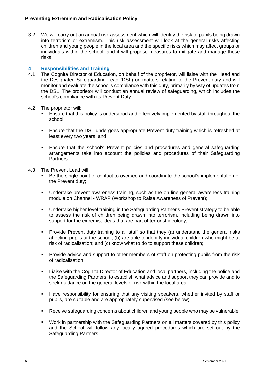3.2 We will carry out an annual risk assessment which will identify the risk of pupils being drawn into terrorism or extremism. This risk assessment will look at the general risks affecting children and young people in the local area and the specific risks which may affect groups or individuals within the school, and it will propose measures to mitigate and manage these risks.

#### **4 Responsibilities and Training**

- 4.1 The Cognita Director of Education, on behalf of the proprietor, will liaise with the Head and the Designated Safeguarding Lead (DSL) on matters relating to the Prevent duty and will monitor and evaluate the school's compliance with this duty, primarily by way of updates from the DSL. The proprietor will conduct an annual review of safeguarding, which includes the school's compliance with its Prevent Duty.
- 4.2 The proprietor will:
	- Ensure that this policy is understood and effectively implemented by staff throughout the school;
	- **Ensure that the DSL undergoes appropriate Prevent duty training which is refreshed at** least every two years; and
	- Ensure that the school's Prevent policies and procedures and general safeguarding arrangements take into account the policies and procedures of their Safeguarding Partners.
- 4.3 The Prevent Lead will:
	- Be the single point of contact to oversee and coordinate the school's implementation of the Prevent duty;
	- Undertake prevent awareness training, such as the on-line general awareness training module on Channel - WRAP (Workshop to Raise Awareness of Prevent);
	- Undertake higher level training in the Safeguarding Partner's Prevent strategy to be able to assess the risk of children being drawn into terrorism, including being drawn into support for the extremist ideas that are part of terrorist ideology;
	- Provide Prevent duty training to all staff so that they (a) understand the general risks affecting pupils at the school; (b) are able to identify individual children who might be at risk of radicalisation; and (c) know what to do to support these children;
	- Provide advice and support to other members of staff on protecting pupils from the risk of radicalisation;
	- Liaise with the Cognita Director of Education and local partners, including the police and the Safeguarding Partners, to establish what advice and support they can provide and to seek guidance on the general levels of risk within the local area;
	- Have responsibility for ensuring that any visiting speakers, whether invited by staff or pupils, are suitable and are appropriately supervised (see below);
	- Receive safeguarding concerns about children and young people who may be vulnerable;
	- Work in partnership with the Safeguarding Partners on all matters covered by this policy and the School will follow any locally agreed procedures which are set out by the Safeguarding Partners.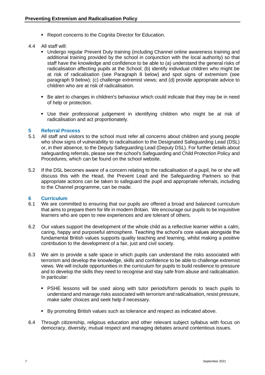- Report concerns to the Cognita Director for Education.
- 4.4 All staff will:
	- Undergo regular Prevent Duty training (including Channel online awareness training and additional training provided by the school in conjunction with the local authority) so that staff have the knowledge and confidence to be able to (a) understand the general risks of radicalisation affecting pupils at the School; (b) identify individual children who might be at risk of radicalisation (see Paragraph 8 below) and spot signs of extremism (see paragraph 9 below); (c) challenge extremist views; and (d) provide appropriate advice to children who are at risk of radicalisation.
	- Be alert to changes in children's behaviour which could indicate that they may be in need of help or protection.
	- Use their professional judgement in identifying children who might be at risk of radicalisation and act proportionately.

#### **5 Referral Process**

- 5.1 All staff and visitors to the school must refer all concerns about children and young people who show signs of vulnerability to radicalisation to the Designated Safeguarding Lead (DSL) or, in their absence, to the Deputy Safeguarding Lead (Deputy DSL). For further details about safeguarding referrals, please see the school's Safeguarding and Child Protection Policy and Procedures, which can be found on the school website.
- 5.2 If the DSL becomes aware of a concern relating to the radicalisation of a pupil, he or she will discuss this with the Head, the Prevent Lead and the Safeguarding Partners so that appropriate actions can be taken to safeguard the pupil and appropriate referrals, including to the Channel programme, can be made.

#### **6 Curriculum**

- 6.1 We are committed to ensuring that our pupils are offered a broad and balanced curriculum that aims to prepare them for life in modern Britain. We encourage our pupils to be inquisitive learners who are open to new experiences and are tolerant of others.
- 6.2 Our values support the development of the whole child as a reflective learner within a calm, caring, happy and purposeful atmosphere. Teaching the school's core values alongside the fundamental British values supports quality teaching and learning, whilst making a positive contribution to the development of a fair, just and civil society.
- 6.3 We aim to provide a safe space in which pupils can understand the risks associated with terrorism and develop the knowledge, skills and confidence to be able to challenge extremist views. We will include opportunities in the curriculum for pupils to build resilience to pressure and to develop the skills they need to recognise and stay safe from abuse and radicalisation. In particular:
	- PSHE lessons will be used along with tutor periods/form periods to teach pupils to understand and manage risks associated with terrorism and radicalisation, resist pressure, make safer choices and seek help if necessary.
	- By promoting British values such as tolerance and respect as indicated above.
- 6.4 Through citizenship, religious education and other relevant subject syllabus with focus on democracy, diversity, mutual respect and managing debates around contentious issues.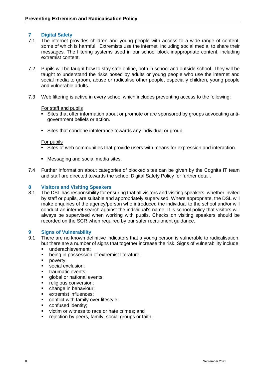#### **7 Digital Safety**

- 7.1 The internet provides children and young people with access to a wide-range of content, some of which is harmful. Extremists use the internet, including social media, to share their messages. The filtering systems used in our school block inappropriate content, including extremist content.
- 7.2 Pupils will be taught how to stay safe online, both in school and outside school. They will be taught to understand the risks posed by adults or young people who use the internet and social media to groom, abuse or radicalise other people, especially children, young people and vulnerable adults.
- 7.3 Web filtering is active in every school which includes preventing access to the following:

#### For staff and pupils

- Sites that offer information about or promote or are sponsored by groups advocating antigovernment beliefs or action.
- Sites that condone intolerance towards any individual or group.

#### For pupils

- Sites of web communities that provide users with means for expression and interaction.
- Messaging and social media sites.
- 7.4 Further information about categories of blocked sites can be given by the Cognita IT team and staff are directed towards the school Digital Safety Policy for further detail.

#### **8 Visitors and Visiting Speakers**

8.1 The DSL has responsibility for ensuring that all visitors and visiting speakers, whether invited by staff or pupils, are suitable and appropriately supervised. Where appropriate, the DSL will make enquiries of the agency/person who introduced the individual to the school and/or will conduct an internet search against the individual's name. It is school policy that visitors will always be supervised when working with pupils. Checks on visiting speakers should be recorded on the SCR when required by our safer recruitment guidance.

#### **9 Signs of Vulnerability**

- 9.1 There are no known definitive indicators that a young person is vulnerable to radicalisation, but there are a number of signs that together increase the risk. Signs of vulnerability include:
	- **■** underachievement;
	- being in possession of extremist literature;
	- poverty;
	- social exclusion:
	- traumatic events;
	- **■** global or national events:
	- **·** religious conversion:
	- **•** change in behaviour;
	- extremist influences;
	- conflict with family over lifestyle;
	- confused identity:
	- victim or witness to race or hate crimes; and
	- rejection by peers, family, social groups or faith.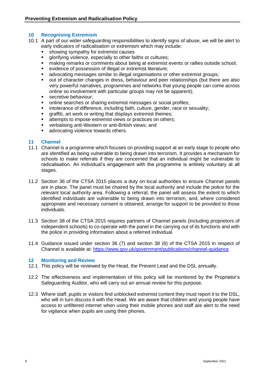#### **10 Recognising Extremism**

- 10.1 A part of our wider safeguarding responsibilities to identify signs of abuse, we will be alert to early indicators of radicalisation or extremism which may include:
	- **•** showing sympathy for extremist causes
	- glorifying violence, especially to other faiths or cultures;
	- making remarks or comments about being at extremist events or rallies outside school;
	- evidence of possession of illegal or extremist literature;
	- advocating messages similar to illegal organisations or other extremist groups;
	- out of character changes in dress, behaviour and peer relationships (but there are also very powerful narratives, programmes and networks that young people can come across online so involvement with particular groups may not be apparent);
	- **•** secretive behaviour:
	- online searches or sharing extremist messages or social profiles;
	- **EXEDERED FEE INTERED FEE INTERED FEE INTER** including faith, culture, gender, race or sexuality;
	- graffiti, art work or writing that displays extremist themes;
	- attempts to impose extremist views or practices on others;
	- verbalising anti-Western or anti-British views; and
	- advocating violence towards others.

#### **11 Channel**

- 11.1 Channel is a programme which focuses on providing support at an early stage to people who are identified as being vulnerable to being drawn into terrorism. It provides a mechanism for schools to make referrals if they are concerned that an individual might be vulnerable to radicalisation. An individual's engagement with the programme is entirely voluntary at all stages.
- 11.2 Section 36 of the CTSA 2015 places a duty on local authorities to ensure Channel panels are in place. The panel must be chaired by the local authority and include the police for the relevant local authority area. Following a referral, the panel will assess the extent to which identified individuals are vulnerable to being drawn into terrorism, and, where considered appropriate and necessary consent is obtained, arrange for support to be provided to those individuals.
- 11.3 Section 38 of the CTSA 2015 requires partners of Channel panels (including proprietors of independent schools) to co-operate with the panel in the carrying out of its functions and with the police in providing information about a referred individual.
- 11.4 Guidance issued under section 36 (7) and section 38 (6) of the CTSA 2015 in respect of Channel is available at:<https://www.gov.uk/government/publications/channel-guidance>

#### **12 Monitoring and Review**

- 12.1 This policy will be reviewed by the Head, the Prevent Lead and the DSL annually.
- 12.2 The effectiveness and implementation of this policy will be monitored by the Proprietor's Safeguarding Auditor, who will carry out an annual review for this purpose.
- 12.3 Where staff, pupils or visitors find unblocked extremist content they must report it to the DSL, who will in turn discuss it with the Head. We are aware that children and young people have access to unfiltered internet when using their mobile phones and staff are alert to the need for vigilance when pupils are using their phones.